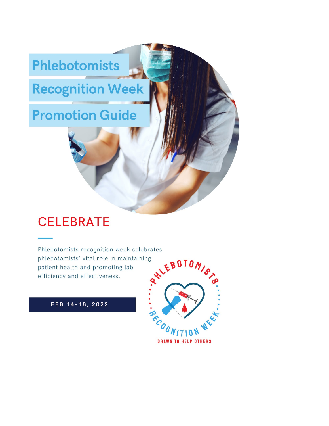# **Phlebotomists**

# **Recognition Week**

# **Promotion Guide**

# **CELEBRATE**

Phlebotomists recognition week celebrates phlebotomists' vital role in maintaining patient health and promoting lab efficiency and effectiveness.

FEB 14-18, 2022

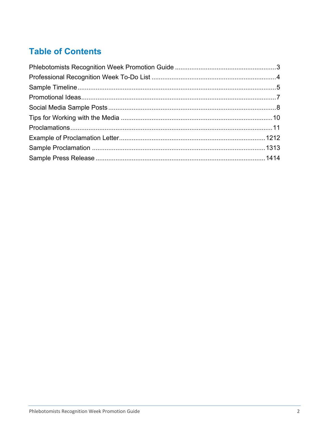# **Table of Contents**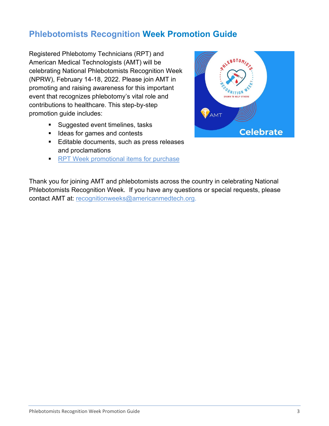# <span id="page-2-0"></span>**Phlebotomists Recognition Week Promotion Guide**

Registered Phlebotomy Technicians (RPT) and American Medical Technologists (AMT) will be celebrating National Phlebotomists Recognition Week (NPRW), February 14-18, 2022. Please join AMT in promoting and raising awareness for this important event that recognizes phlebotomy's vital role and contributions to healthcare. This step-by-step promotion guide includes:

- **Suggested event timelines, tasks**
- **If** Ideas for games and contests
- **Editable documents, such as press releases** and proclamations
- **[RPT Week promotional items for purchase](https://www.jimcolemanstore.com/amtpw/)**



Thank you for joining AMT and phlebotomists across the country in celebrating National Phlebotomists Recognition Week. If you have any questions or special requests, please contact AMT at: [recognitionweeks@americanmedtech.org.](mailto:recognitionweeks@americanmedtech.org)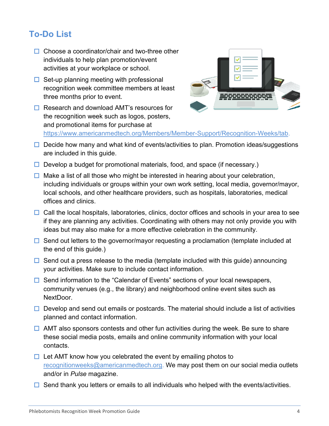# <span id="page-3-0"></span>**To-Do List**

- $\Box$  Choose a coordinator/chair and two-three other individuals to help plan promotion/event activities at your workplace or school.
- $\Box$  Set-up planning meeting with professional recognition week committee members at least three months prior to event.
- $\Box$  Research and download AMT's resources for the recognition week such as logos, posters, and promotional items for purchase at



[https://www.americanmedtech.org/Members/Member-Support/Recognition-Weeks/](https://www.americanmedtech.org/Members/Member-Support/Recognition-Weeks)tab.

- $\Box$  Decide how many and what kind of events/activities to plan. Promotion ideas/suggestions are included in this guide.
- $\Box$  Develop a budget for promotional materials, food, and space (if necessary.)
- $\Box$  Make a list of all those who might be interested in hearing about your celebration, including individuals or groups within your own work setting, local media, governor/mayor, local schools, and other healthcare providers, such as hospitals, laboratories, medical offices and clinics.
- $\Box$  Call the local hospitals, laboratories, clinics, doctor offices and schools in your area to see if they are planning any activities. Coordinating with others may not only provide you with ideas but may also make for a more effective celebration in the community.
- $\Box$  Send out letters to the governor/mayor requesting a proclamation (template included at the end of this guide.)
- $\Box$  Send out a press release to the media (template included with this guide) announcing your activities. Make sure to include contact information.
- $\Box$  Send information to the "Calendar of Events" sections of your local newspapers, community venues (e.g., the library) and neighborhood online event sites such as NextDoor.
- $\Box$  Develop and send out emails or postcards. The material should include a list of activities planned and contact information.
- $\Box$  AMT also sponsors contests and other fun activities during the week. Be sure to share these social media posts, emails and online community information with your local contacts.
- $\Box$  Let AMT know how you celebrated the event by emailing photos to [recognitionweeks@americanmedtech.org.](mailto:recognitionweeks@americanmedtech.org) We may post them on our social media outlets and/or in *Pulse* magazine.
- $\Box$  Send thank you letters or emails to all individuals who helped with the events/activities.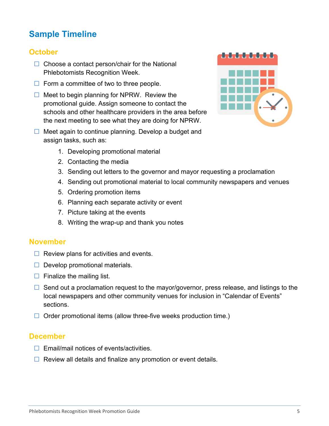# <span id="page-4-0"></span>**Sample Timeline**

#### **October**

- $\Box$  Choose a contact person/chair for the National Phlebotomists Recognition Week.
- $\Box$  Form a committee of two to three people.
- $\Box$  Meet to begin planning for NPRW. Review the promotional guide. Assign someone to contact the schools and other healthcare providers in the area before the next meeting to see what they are doing for NPRW.
- $\Box$  Meet again to continue planning. Develop a budget and assign tasks, such as:
- - 1. Developing promotional material
	- 2. Contacting the media
	- 3. Sending out letters to the governor and mayor requesting a proclamation
	- 4. Sending out promotional material to local community newspapers and venues
	- 5. Ordering promotion items
	- 6. Planning each separate activity or event
	- 7. Picture taking at the events
	- 8. Writing the wrap-up and thank you notes

#### **November**

- $\Box$  Review plans for activities and events.
- $\Box$  Develop promotional materials.
- $\Box$  Finalize the mailing list.
- $\Box$  Send out a proclamation request to the mayor/governor, press release, and listings to the local newspapers and other community venues for inclusion in "Calendar of Events" sections.
- $\Box$  Order promotional items (allow three-five weeks production time.)

#### **December**

- $\Box$  Email/mail notices of events/activities.
- $\Box$  Review all details and finalize any promotion or event details.

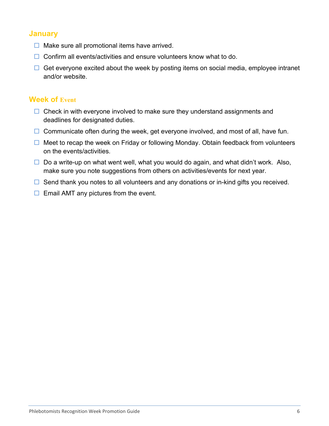#### **January**

- $\Box$  Make sure all promotional items have arrived.
- $\Box$  Confirm all events/activities and ensure volunteers know what to do.
- $\Box$  Get everyone excited about the week by posting items on social media, employee intranet and/or website.

#### **Week of Event**

- $\Box$  Check in with everyone involved to make sure they understand assignments and deadlines for designated duties.
- $\Box$  Communicate often during the week, get everyone involved, and most of all, have fun.
- $\Box$  Meet to recap the week on Friday or following Monday. Obtain feedback from volunteers on the events/activities.
- $\Box$  Do a write-up on what went well, what you would do again, and what didn't work. Also, make sure you note suggestions from others on activities/events for next year.
- $\Box$  Send thank you notes to all volunteers and any donations or in-kind gifts you received.
- <span id="page-5-0"></span> $\Box$  Email AMT any pictures from the event.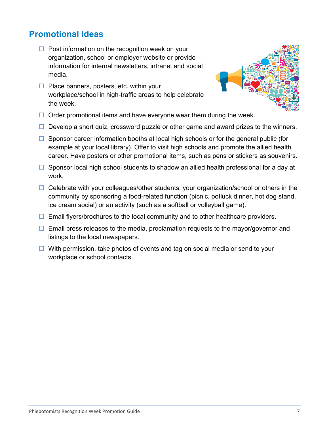### **Promotional Ideas**

- $\Box$  Post information on the recognition week on your organization, school or employer website or provide information for internal newsletters, intranet and social media.
- $\Box$  Place banners, posters, etc. within your workplace/school in high-traffic areas to help celebrate the week.



- $\Box$  Order promotional items and have everyone wear them during the week.
- $\Box$  Develop a short quiz, crossword puzzle or other game and award prizes to the winners.
- $\Box$  Sponsor career information booths at local high schools or for the general public (for example at your local library). Offer to visit high schools and promote the allied health career. Have posters or other promotional items, such as pens or stickers as souvenirs.
- $\Box$  Sponsor local high school students to shadow an allied health professional for a day at work.
- $\Box$  Celebrate with your colleagues/other students, your organization/school or others in the community by sponsoring a food-related function (picnic, potluck dinner, hot dog stand, ice cream social) or an activity (such as a softball or volleyball game).
- $\Box$  Email flyers/brochures to the local community and to other healthcare providers.
- $\Box$  Email press releases to the media, proclamation requests to the mayor/governor and listings to the local newspapers.
- <span id="page-6-0"></span> $\Box$  With permission, take photos of events and tag on social media or send to your workplace or school contacts.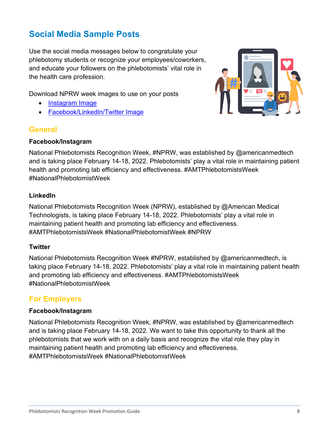# **Social Media Sample Posts**

Use the social media messages below to congratulate your phlebotomy students or recognize your employees/coworkers, and educate your followers on the phlebotomists' vital role in the health care profession.

Download NPRW week images to use on your posts

- [Instagram](https://www.americanmedtech.org/Portals/0/PDF/Be%20Involved/Recognition_Weeks/Phlebotomists-Social-Media-2.jpg) Image
- [Facebook/LinkedIn/Twitter Image](https://americanmedtech.org/Portals/0/PDF/Be%20Involved/Recognition_Weeks/Phlebotomists-Social-Media-3.jpg)

#### **General**

#### **Facebook/Instagram**



National Phlebotomists Recognition Week, #NPRW, was established by @americanmedtech and is taking place February 14-18, 2022. Phlebotomists' play a vital role in maintaining patient health and promoting lab efficiency and effectiveness. #AMTPhlebotomistsWeek #NationalPhlebotomistWeek

#### **LinkedIn**

National Phlebotomists Recognition Week (NPRW), established by @American Medical Technologists, is taking place February 14-18, 2022. Phlebotomists' play a vital role in maintaining patient health and promoting lab efficiency and effectiveness. #AMTPhlebotomistsWeek #NationalPhlebotomistWeek #NPRW

#### **Twitter**

National Phlebotomists Recognition Week #NPRW, established by @americanmedtech, is taking place February 14-18, 2022. Phlebotomists' play a vital role in maintaining patient health and promoting lab efficiency and effectiveness. #AMTPhlebotomistsWeek #NationalPhlebotomistWeek

#### **For Employers**

#### **Facebook/Instagram**

National Phlebotomists Recognition Week, #NPRW, was established by @americanmedtech and is taking place February 14-18, 2022. We want to take this opportunity to thank all the phlebotomists that we work with on a daily basis and recognize the vital role they play in maintaining patient health and promoting lab efficiency and effectiveness. #AMTPhlebotomistsWeek #NationalPhlebotomistWeek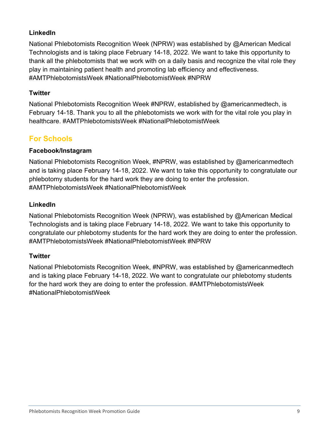#### **LinkedIn**

National Phlebotomists Recognition Week (NPRW) was established by @American Medical Technologists and is taking place February 14-18, 2022. We want to take this opportunity to thank all the phlebotomists that we work with on a daily basis and recognize the vital role they play in maintaining patient health and promoting lab efficiency and effectiveness. #AMTPhlebotomistsWeek #NationalPhlebotomistWeek #NPRW

#### **Twitter**

National Phlebotomists Recognition Week #NPRW, established by @americanmedtech, is February 14-18. Thank you to all the phlebotomists we work with for the vital role you play in healthcare. #AMTPhlebotomistsWeek #NationalPhlebotomistWeek

### **For Schools**

#### **Facebook/Instagram**

National Phlebotomists Recognition Week, #NPRW, was established by @americanmedtech and is taking place February 14-18, 2022. We want to take this opportunity to congratulate our phlebotomy students for the hard work they are doing to enter the profession. #AMTPhlebotomistsWeek #NationalPhlebotomistWeek

#### **LinkedIn**

National Phlebotomists Recognition Week (NPRW), was established by @American Medical Technologists and is taking place February 14-18, 2022. We want to take this opportunity to congratulate our phlebotomy students for the hard work they are doing to enter the profession. #AMTPhlebotomistsWeek #NationalPhlebotomistWeek #NPRW

#### **Twitter**

<span id="page-8-0"></span>National Phlebotomists Recognition Week, #NPRW, was established by @americanmedtech and is taking place February 14-18, 2022. We want to congratulate our phlebotomy students for the hard work they are doing to enter the profession. #AMTPhlebotomistsWeek #NationalPhlebotomistWeek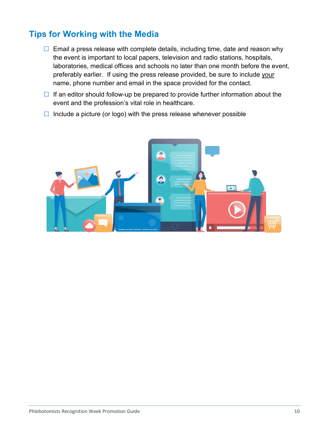# **Tips for Working with the Media**

- $\Box$  Email a press release with complete details, including time, date and reason why the event is important to local papers, television and radio stations, hospitals, laboratories, medical offices and schools no later than one month before the event, preferably earlier. If using the press release provided, be sure to include your name, phone number and email in the space provided for the contact.
- $\Box$  If an editor should follow-up be prepared to provide further information about the event and the profession's vital role in healthcare.
- <span id="page-9-0"></span> $\Box$  Include a picture (or logo) with the press release whenever possible

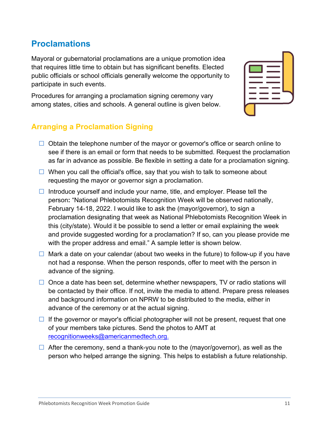Phlebotomists Recognition Week Promotion Guide 11 and 200 and 200 and 21 and 21 and 21 and 21 and 21 and 21 and 21 and 21 and 21 and 21 and 21 and 21 and 21 and 200 and 200 and 200 and 200 and 200 and 200 and 200 and 200 a

### **Proclamations**

Mayoral or gubernatorial proclamations are a unique promotion idea that requires little time to obtain but has significant benefits. Elected public officials or school officials generally welcome the opportunity to participate in such events.

Procedures for arranging a proclamation signing ceremony vary among states, cities and schools. A general outline is given below.

#### **Arranging a Proclamation Signing**

- $\Box$  Obtain the telephone number of the mayor or governor's office or search online to see if there is an email or form that needs to be submitted. Request the proclamation as far in advance as possible. Be flexible in setting a date for a proclamation signing.
- $\Box$  When you call the official's office, say that you wish to talk to someone about requesting the mayor or governor sign a proclamation.
- Introduce yourself and include your name, title, and employer. Please tell the person**:** "National Phlebotomists Recognition Week will be observed nationally, February 14-18, 2022. I would like to ask the (mayor/governor), to sign a proclamation designating that week as National Phlebotomists Recognition Week in this (city/state). Would it be possible to send a letter or email explaining the week and provide suggested wording for a proclamation? If so, can you please provide me with the proper address and email." A sample letter is shown below.
- $\Box$  Mark a date on your calendar (about two weeks in the future) to follow-up if you have not had a response. When the person responds, offer to meet with the person in advance of the signing.
- $\Box$  Once a date has been set, determine whether newspapers, TV or radio stations will be contacted by their office. If not, invite the media to attend. Prepare press releases and background information on NPRW to be distributed to the media, either in advance of the ceremony or at the actual signing.
- $\Box$  If the governor or mayor's official photographer will not be present, request that one of your members take pictures. Send the photos to AMT at [recognitionweeks@americanmedtech.org.](mailto:recognitionweeks@americanmedtech.org)
- $\Box$  After the ceremony, send a thank-you note to the (mayor/governor), as well as the person who helped arrange the signing. This helps to establish a future relationship.

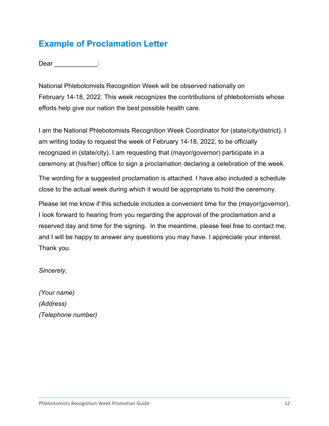# <span id="page-11-0"></span>**Example of Proclamation Letter**

Dear :

National Phlebotomists Recognition Week will be observed nationally on February 14-18, 2022. This week recognizes the contributions of phlebotomists whose efforts help give our nation the best possible health care.

I am the National Phlebotomists Recognition Week Coordinator for (state/city/district). I am writing today to request the week of February 14-18, 2022, to be officially recognized in (state/city). I am requesting that (mayor/governor) participate in a ceremony at (his/her) office to sign a proclamation declaring a celebration of the week.

The wording for a suggested proclamation is attached. I have also included a schedule close to the actual week during which it would be appropriate to hold the ceremony.

Please let me know if this schedule includes a convenient time for the (mayor/governor). I look forward to hearing from you regarding the approval of the proclamation and a reserved day and time for the signing. In the meantime, please feel free to contact me, and I will be happy to answer any questions you may have. I appreciate your interest. Thank you.

*Sincerely,*

*(Your name) (Address) (Telephone number)*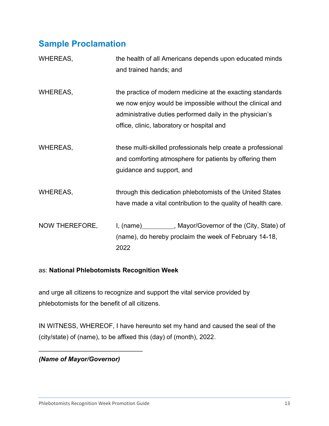# <span id="page-12-0"></span>**Sample Proclamation**

| WHEREAS,        | the health of all Americans depends upon educated minds<br>and trained hands; and                                                                                                                                                |
|-----------------|----------------------------------------------------------------------------------------------------------------------------------------------------------------------------------------------------------------------------------|
| <b>WHEREAS,</b> | the practice of modern medicine at the exacting standards<br>we now enjoy would be impossible without the clinical and<br>administrative duties performed daily in the physician's<br>office, clinic, laboratory or hospital and |
| <b>WHEREAS,</b> | these multi-skilled professionals help create a professional<br>and comforting atmosphere for patients by offering them<br>guidance and support, and                                                                             |
| <b>WHEREAS,</b> | through this dedication phlebotomists of the United States<br>have made a vital contribution to the quality of health care.                                                                                                      |
| NOW THEREFORE,  | I, (name) __________, Mayor/Governor of the (City, State) of<br>(name), do hereby proclaim the week of February 14-18,<br>2022                                                                                                   |

#### as: **National Phlebotomists Recognition Week**

and urge all citizens to recognize and support the vital service provided by phlebotomists for the benefit of all citizens.

IN WITNESS, WHEREOF, I have hereunto set my hand and caused the seal of the (city/state) of (name), to be affixed this (day) of (month), 2022.

*(Name of Mayor/Governor)*

\_\_\_\_\_\_\_\_\_\_\_\_\_\_\_\_\_\_\_\_\_\_\_\_\_\_\_\_\_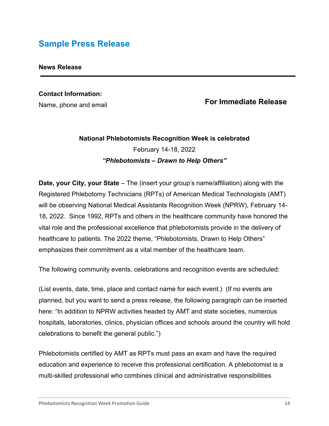# <span id="page-13-0"></span>**Sample Press Release**

#### **News Release**

# **Contact Information:**

Name, phone and email

#### **For Immediate Release**

### **National Phlebotomists Recognition Week is celebrated** February 14-18, 2022 *"Phlebotomists – Drawn to Help Others"*

**Date, your City, your State** – The (insert your group's name/affiliation) along with the Registered Phlebotomy Technicians (RPTs) of American Medical Technologists (AMT) will be observing National Medical Assistants Recognition Week (NPRW), February 14- 18, 2022. Since 1992, RPTs and others in the healthcare community have honored the vital role and the professional excellence that phlebotomists provide in the delivery of healthcare to patients. The 2022 theme, "Phlebotomists, Drawn to Help Others" emphasizes their commitment as a vital member of the healthcare team.

The following community events, celebrations and recognition events are scheduled:

(List events, date, time, place and contact name for each event.) (If no events are planned, but you want to send a press release, the following paragraph can be inserted here: "In addition to NPRW activities headed by AMT and state societies, numerous hospitals, laboratories, clinics, physician offices and schools around the country will hold celebrations to benefit the general public.")

Phlebotomists certified by AMT as RPTs must pass an exam and have the required education and experience to receive this professional certification. A phlebotomist is a multi-skilled professional who combines clinical and administrative responsibilities